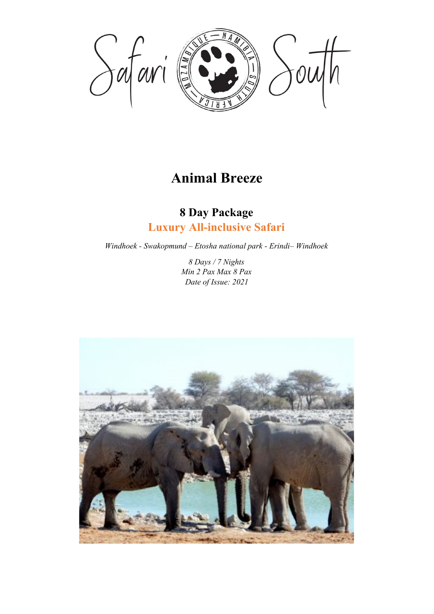

# **Animal Breeze**

## **8 Day Package Luxury All-inclusive Safari**

*Windhoek - Swakopmund – Etosha national park - Erindi– Windhoek*

*8 Days / 7 Nights Min 2 Pax Max 8 Pax Date of Issue: 2021*

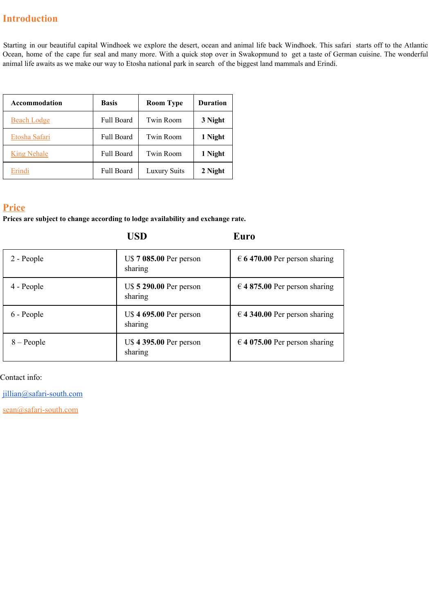## **Introduction**

Starting in our beautiful capital Windhoek we explore the desert, ocean and animal life back Windhoek. This safari starts off to the Atlantic Ocean, home of the cape fur seal and many more. With a quick stop over in Swakopmund to get a taste of German cuisine. The wonderful animal life awaits as we make our way to Etosha national park in search of the biggest land mammals and Erindi.

| <b>Accommodation</b> | <b>Basis</b>      | <b>Room Type</b>    | <b>Duration</b> |
|----------------------|-------------------|---------------------|-----------------|
| <b>Beach Lodge</b>   | <b>Full Board</b> | <b>Twin Room</b>    | 3 Night         |
| Etosha Safari        | <b>Full Board</b> | <b>Twin Room</b>    | 1 Night         |
| <b>King Nehale</b>   | <b>Full Board</b> | <b>Twin Room</b>    | 1 Night         |
| Erindi               | <b>Full Board</b> | <b>Luxury Suits</b> | 2 Night         |

## **Price**

**Prices are subject to change according to lodge availability and exchange rate.**

**USD Euro**

| 2 - People   | U\$ 7 085.00 Per person<br>sharing | $\epsilon$ 6 470.00 Per person sharing |
|--------------|------------------------------------|----------------------------------------|
| 4 - People   | U\$ 5 290.00 Per person<br>sharing | $\in$ 4 875.00 Per person sharing      |
| 6 - People   | U\$4 695.00 Per person<br>sharing  | $\in$ 4 340.00 Per person sharing      |
| $8 - People$ | U\$ 4 395.00 Per person<br>sharing | $\in$ 4 075.00 Per person sharing      |

Contact info:

[jillian@safari-south.com](mailto:jillian@safari-south.com)

sean@safari-south.com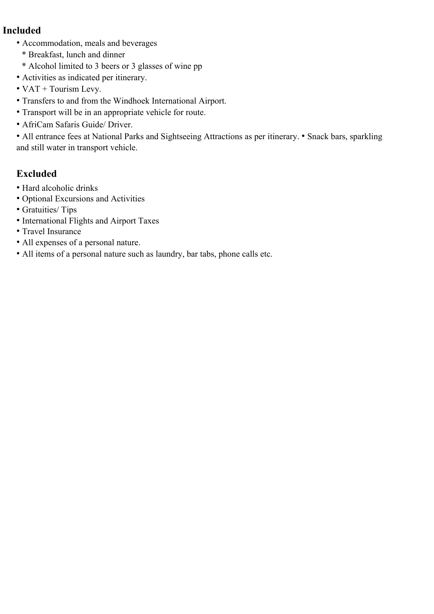### **Included**

- Accommodation, meals and beverages
	- \* Breakfast, lunch and dinner
	- \* Alcohol limited to 3 beers or 3 glasses of wine pp
- Activities as indicated per itinerary.
- VAT + Tourism Levy.
- Transfers to and from the Windhoek International Airport.
- Transport will be in an appropriate vehicle for route.
- AfriCam Safaris Guide/ Driver.

• All entrance fees at National Parks and Sightseeing Attractions as per itinerary. • Snack bars, sparkling and still water in transport vehicle.

## **Excluded**

- Hard alcoholic drinks
- Optional Excursions and Activities
- Gratuities/ Tips
- International Flights and Airport Taxes
- Travel Insurance
- All expenses of a personal nature.
- All items of a personal nature such as laundry, bar tabs, phone calls etc.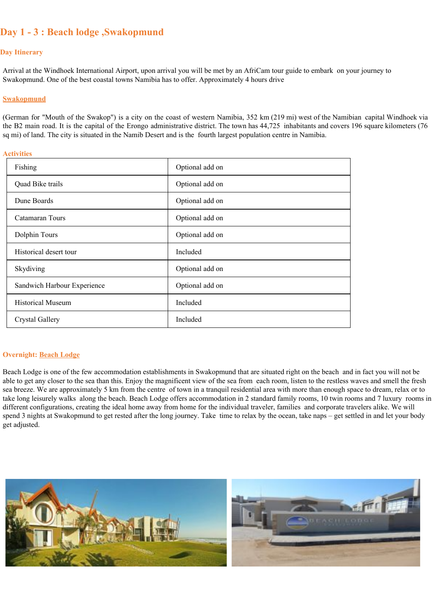## **Day 1 - 3 : Beach lodge ,Swakopmund**

#### **Day Itinerary**

Arrival at the Windhoek International Airport, upon arrival you will be met by an AfriCam tour guide to embark on your journey to Swakopmund. One of the best coastal towns Namibia has to offer. Approximately 4 hours drive

#### **Swakopmund**

(German for "Mouth of the Swakop") is a city on the coast of western Namibia, 352 km (219 mi) west of the Namibian capital Windhoek via the B2 main road. It is the capital of the Erongo administrative district. The town has 44,725 inhabitants and covers 196 square kilometers (76 sq mi) of land. The city is situated in the Namib Desert and is the fourth largest population centre in Namibia.

#### **Activities**

| Fishing                     | Optional add on |
|-----------------------------|-----------------|
| Quad Bike trails            | Optional add on |
| Dune Boards                 | Optional add on |
| Catamaran Tours             | Optional add on |
| Dolphin Tours               | Optional add on |
| Historical desert tour      | Included        |
| Skydiving                   | Optional add on |
| Sandwich Harbour Experience | Optional add on |
| <b>Historical Museum</b>    | Included        |
| Crystal Gallery             | Included        |

#### **Overnight: Beach Lodge**

Beach Lodge is one of the few accommodation establishments in Swakopmund that are situated right on the beach and in fact you will not be able to get any closer to the sea than this. Enjoy the magnificent view of the sea from each room, listen to the restless waves and smell the fresh sea breeze. We are approximately 5 km from the centre of town in a tranquil residential area with more than enough space to dream, relax or to take long leisurely walks along the beach. Beach Lodge offers accommodation in 2 standard family rooms, 10 twin rooms and 7 luxury rooms in different configurations, creating the ideal home away from home for the individual traveler, families and corporate travelers alike. We will spend 3 nights at Swakopmund to get rested after the long journey. Take time to relax by the ocean, take naps – get settled in and let your body get adjusted.

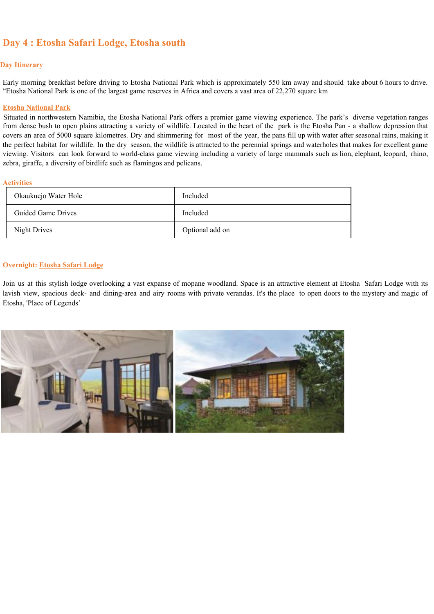## **Day 4 : Etosha Safari Lodge, Etosha south**

#### **Day Itinerary**

Early morning breakfast before driving to Etosha National Park which is approximately 550 km away and should take about 6 hours to drive. "Etosha National Park is one of the largest game reserves in Africa and covers a vast area of 22,270 square km

#### **Etosha National Park**

Situated in northwestern Namibia, the Etosha National Park offers a premier game viewing experience. The park's diverse vegetation ranges from dense bush to open plains attracting a variety of wildlife. Located in the heart of the park is the Etosha Pan - a shallow depression that covers an area of 5000 square kilometres. Dry and shimmering for most of the year, the pans fill up with water after seasonal rains, making it the perfect habitat for wildlife. In the dry season, the wildlife is attracted to the perennial springs and waterholes that makes for excellent game viewing. Visitors can look forward to world-class game viewing including a variety of large mammals such as lion, elephant, leopard, rhino, zebra, giraffe, a diversity of birdlife such as flamingos and pelicans.

#### **Activities**

| Okaukuejo Water Hole | Included        |
|----------------------|-----------------|
| Guided Game Drives   | Included        |
| Night Drives         | Optional add on |

#### **Overnight: Etosha Safari Lodge**

Join us at this stylish lodge overlooking a vast expanse of mopane woodland. Space is an attractive element at Etosha Safari Lodge with its lavish view, spacious deck- and dining-area and airy rooms with private verandas. It's the place to open doors to the mystery and magic of Etosha, 'Place of Legends'

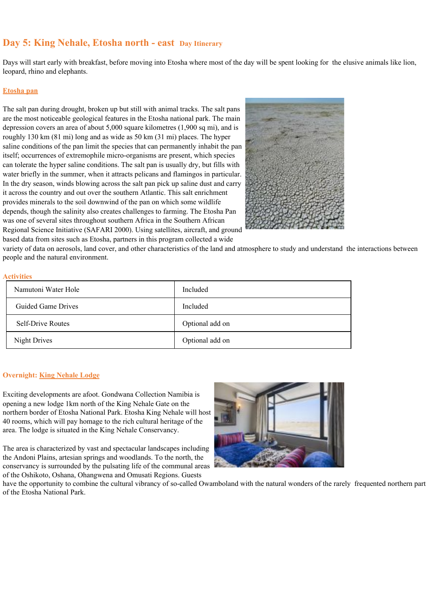### **Day 5: King Nehale, Etosha north - east Day Itinerary**

Days will start early with breakfast, before moving into Etosha where most of the day will be spent looking for the elusive animals like lion, leopard, rhino and elephants.

#### **Etosha pan**

The salt pan during drought, broken up but still with animal tracks. The salt pans are the most noticeable geological features in the Etosha national park. The main depression covers an area of about 5,000 square kilometres (1,900 sq mi), and is roughly 130 km (81 mi) long and as wide as 50 km (31 mi) places. The hyper saline conditions of the pan limit the species that can permanently inhabit the pan itself; occurrences of extremophile micro-organisms are present, which species can tolerate the hyper saline conditions. The salt pan is usually dry, but fills with water briefly in the summer, when it attracts pelicans and flamingos in particular. In the dry season, winds blowing across the salt pan pick up saline dust and carry it across the country and out over the southern Atlantic. This salt enrichment provides minerals to the soil downwind of the pan on which some wildlife depends, though the salinity also creates challenges to farming. The Etosha Pan was one of several sites throughout southern Africa in the Southern African Regional Science Initiative (SAFARI 2000). Using satellites, aircraft, and ground based data from sites such as Etosha, partners in this program collected a wide



variety of data on aerosols, land cover, and other characteristics of the land and atmosphere to study and understand the interactions between people and the natural environment.

#### **Activities**

| Namutoni Water Hole      | Included        |
|--------------------------|-----------------|
| Guided Game Drives       | Included        |
| <b>Self-Drive Routes</b> | Optional add on |
| Night Drives             | Optional add on |

#### **Overnight: King Nehale Lodge**

Exciting developments are afoot. Gondwana Collection Namibia is opening a new lodge 1km north of the King Nehale Gate on the northern border of Etosha National Park. Etosha King Nehale will host 40 rooms, which will pay homage to the rich cultural heritage of the area. The lodge is situated in the King Nehale Conservancy.

The area is characterized by vast and spectacular landscapes including the Andoni Plains, artesian springs and woodlands. To the north, the conservancy is surrounded by the pulsating life of the communal areas of the Oshikoto, Oshana, Ohangwena and Omusati Regions. Guests



have the opportunity to combine the cultural vibrancy of so-called Owamboland with the natural wonders of the rarely frequented northern part of the Etosha National Park.